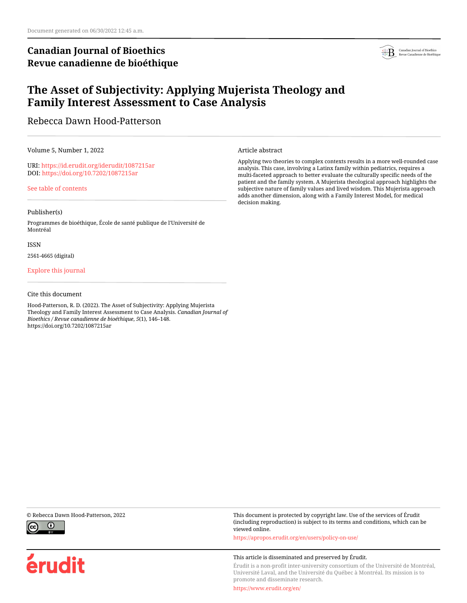# **Canadian Journal of Bioethics Revue canadienne de bioéthique**



# **The Asset of Subjectivity: Applying Mujerista Theology and Family Interest Assessment to Case Analysis**

Rebecca Dawn Hood-Patterson

Volume 5, Number 1, 2022

URI:<https://id.erudit.org/iderudit/1087215ar> DOI:<https://doi.org/10.7202/1087215ar>

[See table of contents](https://www.erudit.org/en/journals/bioethics/2022-v5-n1-bioethics06848/)

## Publisher(s)

Programmes de bioéthique, École de santé publique de l'Université de Montréal

### ISSN

2561-4665 (digital)

## [Explore this journal](https://www.erudit.org/en/journals/bioethics/)

## Cite this document

Hood-Patterson, R. D. (2022). The Asset of Subjectivity: Applying Mujerista Theology and Family Interest Assessment to Case Analysis. *Canadian Journal of Bioethics / Revue canadienne de bioéthique*, *5*(1), 146–148. https://doi.org/10.7202/1087215ar

Article abstract

Applying two theories to complex contexts results in a more well-rounded case analysis. This case, involving a Latinx family within pediatrics, requires a multi-faceted approach to better evaluate the culturally specific needs of the patient and the family system. A Mujerista theological approach highlights the subjective nature of family values and lived wisdom. This Mujerista approach adds another dimension, along with a Family Interest Model, for medical decision making.



érudit

© Rebecca Dawn Hood-Patterson, 2022 This document is protected by copyright law. Use of the services of Érudit (including reproduction) is subject to its terms and conditions, which can be viewed online.

<https://apropos.erudit.org/en/users/policy-on-use/>

### This article is disseminated and preserved by Érudit.

Érudit is a non-profit inter-university consortium of the Université de Montréal, Université Laval, and the Université du Québec à Montréal. Its mission is to promote and disseminate research.

<https://www.erudit.org/en/>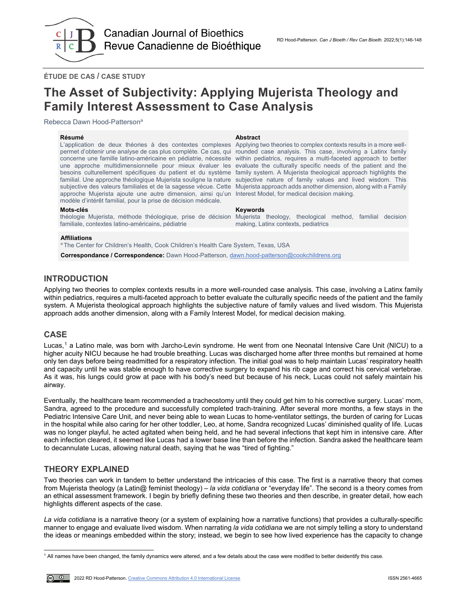

**ÉTUDE DE CAS / CASE STUDY**

# **The Asset of Subjectivity: Applying Mujerista Theology and Family Interest Assessment to Case Analysis**

Rebecca Dawn Hood-Pattersona

### **Résumé Abstract**

L'application de deux théories à des contextes complexes permet d'obtenir une analyse de cas plus complète. Ce cas, qui concerne une famille latino-américaine en pédiatrie, nécessite within pediatrics, requires a multi-faceted approach to better une approche multidimensionnelle pour mieux évaluer les besoins culturellement spécifiques du patient et du système familial. Une approche théologique Mujerista souligne la nature subjective des valeurs familiales et de la sagesse vécue. Cette Mujerista approach adds another dimension, along with a Family approche Mujerista ajoute une autre dimension, ainsi qu'un Interest Model, for medical decision making. modèle d'intérêt familial, pour la prise de décision médicale.

### **Mots-clés Keywords**

théologie Mujerista, méthode théologique, prise de décision familiale, contextes latino-américains, pédiatrie

Applying two theories to complex contexts results in a more wellrounded case analysis. This case, involving a Latinx family evaluate the culturally specific needs of the patient and the family system. A Mujerista theological approach highlights the subjective nature of family values and lived wisdom. This

Mujerista theology, theological method, familial decision making, Latinx contexts, pediatrics

### **Affiliations**

<sup>a</sup> The Center for Children's Health, Cook Children's Health Care System, Texas, USA

**Correspondance / Correspondence:** Dawn Hood-Patterson[, dawn.hood-patterson@cookchildrens.org](mailto:dawn.hood-patterson@cookchildrens.org)

# **INTRODUCTION**

Applying two theories to complex contexts results in a more well-rounded case analysis. This case, involving a Latinx family within pediatrics, requires a multi-faceted approach to better evaluate the culturally specific needs of the patient and the family system. A Mujerista theological approach highlights the subjective nature of family values and lived wisdom. This Mujerista approach adds another dimension, along with a Family Interest Model, for medical decision making.

# **CASE**

Lucas,[1](#page-1-0) a Latino male, was born with Jarcho-Levin syndrome. He went from one Neonatal Intensive Care Unit (NICU) to a higher acuity NICU because he had trouble breathing. Lucas was discharged home after three months but remained at home only ten days before being readmitted for a respiratory infection. The initial goal was to help maintain Lucas' respiratory health and capacity until he was stable enough to have corrective surgery to expand his rib cage and correct his cervical vertebrae. As it was, his lungs could grow at pace with his body's need but because of his neck, Lucas could not safely maintain his airway.

Eventually, the healthcare team recommended a tracheostomy until they could get him to his corrective surgery. Lucas' mom, Sandra, agreed to the procedure and successfully completed trach-training. After several more months, a few stays in the Pediatric Intensive Care Unit, and never being able to wean Lucas to home-ventilator settings, the burden of caring for Lucas in the hospital while also caring for her other toddler, Leo, at home, Sandra recognized Lucas' diminished quality of life. Lucas was no longer playful, he acted agitated when being held, and he had several infections that kept him in intensive care. After each infection cleared, it seemed like Lucas had a lower base line than before the infection. Sandra asked the healthcare team to decannulate Lucas, allowing natural death, saying that he was "tired of fighting."

# **THEORY EXPLAINED**

Two theories can work in tandem to better understand the intricacies of this case. The first is a narrative theory that comes from Mujerista theology (a Latin@ feminist theology) – *la vida cotidiana* or "everyday life". The second is a theory comes from an ethical assessment framework. I begin by briefly defining these two theories and then describe, in greater detail, how each highlights different aspects of the case.

*La vida cotidiana* is a narrative theory (or a system of explaining how a narrative functions) that provides a culturally-specific manner to engage and evaluate lived wisdom. When narrating *la vida cotidiana* we are not simply telling a story to understand the ideas or meanings embedded within the story; instead, we begin to see how lived experience has the capacity to change

<span id="page-1-0"></span>j  $^{\rm 1}$  All names have been changed, the family dynamics were altered, and a few details about the case were modified to better deidentify this case.

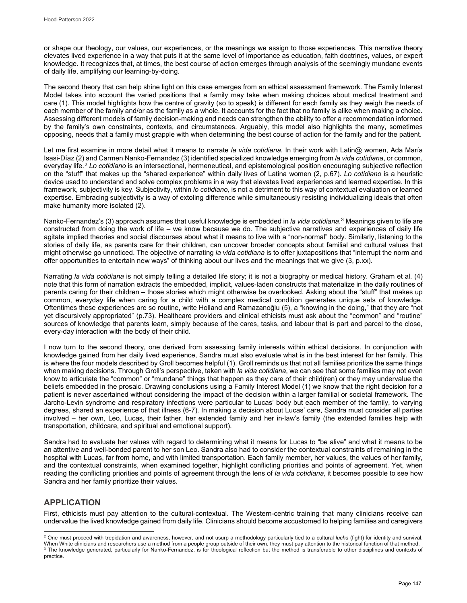or shape our theology, our values, our experiences, or the meanings we assign to those experiences. This narrative theory elevates lived experience in a way that puts it at the same level of importance as education, faith doctrines, values, or expert knowledge. It recognizes that, at times, the best course of action emerges through analysis of the seemingly mundane events of daily life, amplifying our learning-by-doing.

The second theory that can help shine light on this case emerges from an ethical assessment framework. The Family Interest Model takes into account the varied positions that a family may take when making choices about medical treatment and care (1). This model highlights how the centre of gravity (so to speak) is different for each family as they weigh the needs of each member of the family and/or as the family as a whole. It accounts for the fact that no family is alike when making a choice. Assessing different models of family decision-making and needs can strengthen the ability to offer a recommendation informed by the family's own constraints, contexts, and circumstances. Arguably, this model also highlights the many, sometimes opposing, needs that a family must grapple with when determining the best course of action for the family and for the patient.

Let me first examine in more detail what it means to narrate *la vida cotidiana*. In their work with Latin@ women, Ada María Isasi-Díaz (2) and Carmen Nanko-Fernandez (3) identified specialized knowledge emerging from *la vida cotidiana*, or common, everyday life.[2](#page-2-0) *Lo cotidiano* is an intersectional, hermeneutical, and epistemological position encouraging subjective reflection on the "stuff" that makes up the "shared experience" within daily lives of Latina women (2, p.67). *Lo cotidiano* is a heuristic device used to understand and solve complex problems in a way that elevates lived experiences and learned expertise. In this framework, subjectivity is key. Subjectivity, within *lo cotidiano,* is not a detriment to this way of contextual evaluation or learned expertise. Embracing subjectivity is a way of extoling difference while simultaneously resisting individualizing ideals that often make humanity more isolated (2).

Nanko-Fernandez's (3) approach assumes that useful knowledge is embedded in *la vida cotidiana*.[3](#page-2-1) Meanings given to life are constructed from doing the work of life – we know because we do. The subjective narratives and experiences of daily life agitate implied theories and social discourses about what it means to live with a "non-normal" body. Similarly, listening to the stories of daily life, as parents care for their children, can uncover broader concepts about familial and cultural values that might otherwise go unnoticed. The objective of narrating *la vida cotidiana* is to offer juxtapositions that "interrupt the norm and offer opportunities to entertain new ways" of thinking about our lives and the meanings that we give (3, p.xx).

Narrating *la vida cotidiana* is not simply telling a detailed life story; it is not a biography or medical history. Graham et al. (4) note that this form of narration extracts the embedded, implicit, values-laden constructs that materialize in the daily routines of parents caring for their children – those stories which might otherwise be overlooked. Asking about the "stuff" that makes up common, everyday life when caring for a child with a complex medical condition generates unique sets of knowledge. Oftentimes these experiences are so routine, write Holland and Ramazanoğlu (5), a "knowing in the doing," that they are "not yet discursively appropriated" (p.73). Healthcare providers and clinical ethicists must ask about the "common" and "routine" sources of knowledge that parents learn, simply because of the cares, tasks, and labour that is part and parcel to the close, every-day interaction with the body of their child.

I now turn to the second theory, one derived from assessing family interests within ethical decisions. In conjunction with knowledge gained from her daily lived experience, Sandra must also evaluate what is in the best interest for her family. This is where the four models described by Groll becomes helpful (1). Groll reminds us that not all families prioritize the same things when making decisions. Through Groll's perspective, taken with *la vida cotidiana*, we can see that some families may not even know to articulate the "common" or "mundane" things that happen as they care of their child(ren) or they may undervalue the beliefs embedded in the prosaic. Drawing conclusions using a Family Interest Model (1) we know that the right decision for a patient is never ascertained without considering the impact of the decision within a larger familial or societal framework. The Jarcho-Levin syndrome and respiratory infections were particular to Lucas' body but each member of the family, to varying degrees, shared an experience of that illness (6-7). In making a decision about Lucas' care, Sandra must consider all parties involved – her own, Leo, Lucas, their father, her extended family and her in-law's family (the extended families help with transportation, childcare, and spiritual and emotional support).

Sandra had to evaluate her values with regard to determining what it means for Lucas to "be alive" and what it means to be an attentive and well-bonded parent to her son Leo. Sandra also had to consider the contextual constraints of remaining in the hospital with Lucas, far from home, and with limited transportation. Each family member, her values, the values of her family, and the contextual constraints, when examined together, highlight conflicting priorities and points of agreement. Yet, when reading the conflicting priorities and points of agreement through the lens of *la vida cotidiana*, it becomes possible to see how Sandra and her family prioritize their values.

# **APPLICATION**

First, ethicists must pay attention to the cultural-contextual. The Western-centric training that many clinicians receive can undervalue the lived knowledge gained from daily life. Clinicians should become accustomed to helping families and caregivers

<span id="page-2-0"></span>j <sup>2</sup> One must proceed with trepidation and awareness, however, and not usurp a methodology particularly tied to a cultural *lucha* (fight) for identity and survival.

<span id="page-2-1"></span>When White clinicians and researchers use a method from a people group outside of their own, they must pay attention to the historical function of that method.<br><sup>3</sup> The knowledge generated, particularly for Nanko-Fernandez, practice.